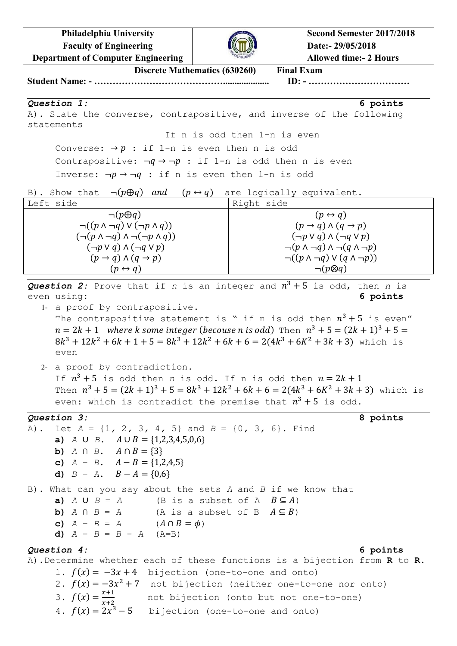**Philadelphia University Faculty of Engineering**



**Second Semester 2017/2018 Date:- 29/05/2018**

**Department of Computer Engineering Allowed time:- 2 Hours Discrete Mathematics (630260) Final Exam Student Name: - …………………………………….................... ID: - ……………………………** *Question 1:* **6 points** A). State the converse, contrapositive, and inverse of the following statements If n is odd then 1-n is even Converse:  $\rightarrow p$  : if 1-n is even then n is odd Contrapositive:  $\neg q \rightarrow \neg p$  : if 1-n is odd then n is even Inverse:  $\neg p \rightarrow \neg q$  : if n is even then 1-n is odd B). Show that  $\neg ( p \oplus q )$  and  $( p \leftrightarrow q )$  are logically equivalent. Left side Right side  $\neg ( p \oplus q)$  $\neg((p \land \neg q) \lor (\neg p \land q))$  $(\neg (p \land \neg q) \land \neg (\neg p \land q))$  $(\neg p \lor q) \land (\neg q \lor p)$  $(p \rightarrow q) \wedge (q \rightarrow p)$  $(p \leftrightarrow q)$  $(p \leftrightarrow q)$  $(p \rightarrow q) \wedge (q \rightarrow p)$  $(\neg p \lor q) \land (\neg q \lor p)$  $\neg ( p \land \neg q) \land \neg ( q \land \neg p)$  $\neg((p \land \neg q) \lor (q \land \neg p))$  $\neg(p \otimes q)$ Question 2: Prove that if  $n$  is an integer and  $n^3 + 5$  is odd, then  $n$  is even using: **6 points** 1- a proof by contrapositive. The contrapositive statement is " if n is odd then  $n^3 + 5$  is even"  $n = 2k + 1$  where k some integer (becouse n is odd) Then  $n^3 + 5 = (2k + 1)^3$  $8k^3 + 12k^2 + 6k + 1 + 5 = 8k^3 + 12k^2 + 6k + 6 = 2(4k^3 + 6K^2 + 3k + 3)$  which is even 2- a proof by contradiction. If  $n^3 + 5$  is odd then *n* is odd. If n is odd then Then  $n^3 + 5 = (2k + 1)^3 + 5 = 8k^3 + 12k^2 + 6k + 6 = 2(4k^3 + 6k^2 + 3k + 3)$  which is even: which is contradict the premise that  $n^3 + 5$  is odd. *Question 3:* **8 points** A). Let *A* = {1*,* 2*,* 3*,* 4*,* 5} and *B* = {0*,* 3*,* 6}. Find **a)**  $A \cup B$ .  $A \cup B = \{1,2,3,4,5,0,6\}$ **b)**  $A \cap B$ .  $A \cap B = \{3\}$ **c)**  $A - B = \{1, 2, 4, 5\}$ **d)**  $B - A$ .  $B - A = \{0,6\}$ B). What can you say about the sets *A* and *B* if we know that **a)**  $A \cup B = A$  (B is a subset of A  $B \subseteq A$ ) **b)**  $A \cap B = A$  (A is a subset of B  $A \subseteq B$ ) **c)**  $A - B = A$  ( $A \cap B = \phi$ ) **d)** *A* − *B* = *B* – *A* (A=B) *Question 4:* **6 points** A).Determine whether each of these functions is a bijection from **R** to **R**. 1.  $f(x) = -3x + 4$  bijection (one-to-one and onto) 2.  $f(x) = -3x^2 + 7$  not bijection (neither one-to-one nor onto) 3.  $f(x) = \frac{x}{x}$ not bijection (onto but not one-to-one)

 $\mathcal{X}$ 4.  $f(x) = 2x^3 - 5$  bijection (one-to-one and onto)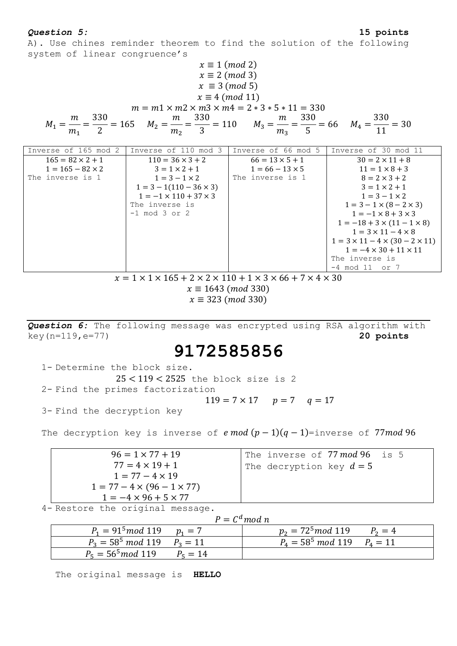### *Question 5:* **15 points**

A). Use chines reminder theorem to find the solution of the following system of linear congruence's

$$
x \equiv 1 \pmod{2}
$$
  
\n
$$
x \equiv 2 \pmod{3}
$$
  
\n
$$
x \equiv 3 \pmod{5}
$$
  
\n
$$
x \equiv 4 \pmod{11}
$$
  
\n
$$
m = m1 \times m2 \times m3 \times m4 = 2 * 3 * 5 * 11 = 330
$$
  
\n
$$
M_1 = \frac{m}{m_1} = \frac{330}{2} = 165 \qquad M_2 = \frac{m}{m_2} = \frac{330}{3} = 110 \qquad M_3 = \frac{m}{m_3} = \frac{330}{5} = 66 \qquad M_4 = \frac{330}{11} = 30
$$

| Inverse of 165 mod 2    | Inverse of 110 mod 3              | Inverse of 66 mod 5    | Inverse of 30 mod 11                            |
|-------------------------|-----------------------------------|------------------------|-------------------------------------------------|
| $165 = 82 \times 2 + 1$ | $110 = 36 \times 3 + 2$           | $66 = 13 \times 5 + 1$ | $30 = 2 \times 11 + 8$                          |
| $1 = 165 - 82 \times 2$ | $3 = 1 \times 2 + 1$              | $1 = 66 - 13 \times 5$ | $11 = 1 \times 8 + 3$                           |
| The inverse is 1        | $1 = 3 - 1 \times 2$              | The inverse is 1       | $8 = 2 \times 3 + 2$                            |
|                         | $1 = 3 - 1(110 - 36 \times 3)$    |                        | $3 = 1 \times 2 + 1$                            |
|                         | $1 = -1 \times 110 + 37 \times 3$ |                        | $1 = 3 - 1 \times 2$                            |
|                         | The inverse is                    |                        | $1 = 3 - 1 \times (8 - 2 \times 3)$             |
|                         | $-1$ mod 3 or 2                   |                        | $1 = -1 \times 8 + 3 \times 3$                  |
|                         |                                   |                        | $1 = -18 + 3 \times (11 - 1 \times 8)$          |
|                         |                                   |                        | $1 = 3 \times 11 - 4 \times 8$                  |
|                         |                                   |                        | $1 = 3 \times 11 - 4 \times (30 - 2 \times 11)$ |
|                         |                                   |                        | $1 = -4 \times 30 + 11 \times 11$               |
|                         |                                   |                        | The inverse is                                  |
|                         |                                   |                        | $-4 \mod 11 \text{ or } 7$                      |

 $x = 1 \times 1 \times 165 + 2 \times 2 \times 110 + 1 \times 3 \times 66 + 7 \times 4 \times 30$  $x \equiv 1643 \ (mod \ 330)$ 

 $x \equiv 323 \ (mod \ 330)$ 

*Question 6:* The following message was encrypted using RSA algorithm with key(n=119,e=77) **20 points**

# **9172585856**

1- Determine the block size.  $25 < 119 < 2525$  the block size is 2 2- Find the primes factorization  $119 = 7 \times 17$   $p = 7$   $q = 17$ 3- Find the decryption key

The decryption key is inverse of  $e \mod (p-1)(q-1)$ =inverse of 77mod 96

| $96 = 1 \times 77 + 19$                | The inverse of 77 mod 96 is 5 |
|----------------------------------------|-------------------------------|
| $77 = 4 \times 19 + 1$                 | The decryption key $d=5$      |
| $1 = 77 - 4 \times 19$                 |                               |
| $1 = 77 - 4 \times (96 - 1 \times 77)$ |                               |
| $1 = -4 \times 96 + 5 \times 77$       |                               |

4- Restore the original message.

|                                  | $P = C^d \mod n$                         |           |
|----------------------------------|------------------------------------------|-----------|
| $P_1 = 91^5 \mod 119$ $p_1 = 7$  | $p_2 = 72^5 \mod 119$                    | $P_2 = 4$ |
| $P_3 = 58^5 \mod 119$ $P_3 = 11$ | $P_4 = 58^5 \text{ mod } 119$ $P_4 = 11$ |           |
| $P_5 = 56^5 \mod 119$ $P_5 = 14$ |                                          |           |

The original message is **HELLO**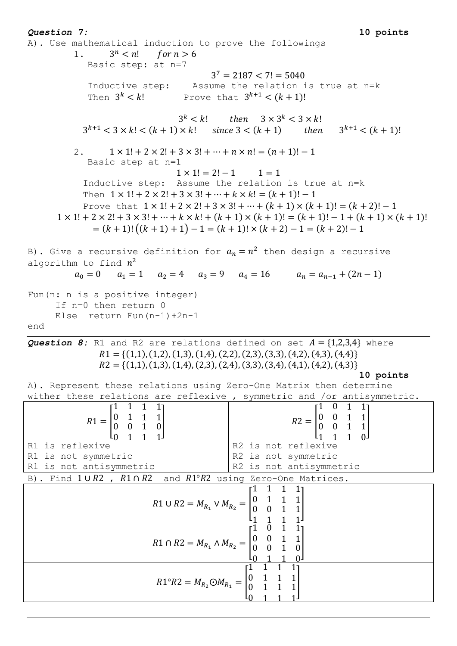*Question 7:* **10 points** A). Use mathematical induction to prove the followings 1.  $3^n < n!$ for  $n > 6$ Basic step: at n=7  $3<sup>7</sup>$ Inductive step: Assume the relation is true at n=k Then  $3^k < k!$  Prove that  $3^{k+1} < (k+1)!$  $3^k < k!$  then  $3 \times 3^k$  $3^{k+1}$  < 3 x k! < (k + 1) x k! since 3 < (k + 1) then  $3^{k+1}$  < (k + 1)! 2.  $1 \times 1! + 2 \times 2! + 3 \times 3! + \dots + n \times n! = (n + 1)! - 1$ Basic step at n=1  $1 \times 1! = 2! - 1$  $1 = 1$ Inductive step: Assume the relation is true at n=k Then  $1 \times 1! + 2 \times 2! + 3 \times 3! + \cdots + k \times k! = (k + 1)! - 1$ Prove that  $1 \times 1! + 2 \times 2! + 3 \times 3! + \dots + (k + 1) \times (k + 1)! = (k + 2)! - 1$  $1 \times 1! + 2 \times 2! + 3 \times 3! + \dots + k \times k! + (k + 1) \times (k + 1)! = (k + 1)! - 1 + (k + 1) \times (k + 1)!$  $=(k + 1)!((k + 1) + 1) - 1 = (k + 1)! \times (k + 2) - 1 = (k + 2)! - 1$ B). Give a recursive definition for  $a_n = n^2$  then design a recursive algorithm to find  $n^2$  $a_0 = 0$   $a_1 = 1$   $a_2 = 4$   $a_3 = 9$   $a_4 = 16$   $a_n = a_{n-1} + (2n-1)$ Fun(n: n is a positive integer) If n=0 then return 0 Else return Fun(n-1)+2n-1 end **Question 8:** R1 and R2 are relations defined on set  $A = \{1,2,3,4\}$  where  $R1 = \{(1,1), (1,2), (1,3), (1,4), (2,2), (2,3), (3,3), (4,2), (4,3), (4,4)\}\$  $R2 = \{(1,1), (1,3), (1,4), (2,3), (2,4), (3,3), (3,4), (4,1), (4,2), (4,3)\}\$ **10 points** A). Represent these relations using Zero-One Matrix then determine wither these relations are reflexive , symmetric and /or antisymmetric.  $\overline{1}$  $\begin{bmatrix} 1 & 1 & 1 & 1 \end{bmatrix}$  $R1 = \begin{bmatrix} 0 \\ 0 \end{bmatrix}$  $\boldsymbol{0}$  $\begin{bmatrix} 0 & 1 & 1 & 1 \\ 0 & 0 & 1 & 0 \end{bmatrix}$  $R2 =$  $\begin{bmatrix} 0 & 0 & 1 & 1 \\ 0 & 0 & 1 & 1 \end{bmatrix}$  $0 \quad 1 \quad 1$ ΩI  $1 \quad 1$  $\mathbf{1}$ R2 is not reflexive R1 is reflexive R1 is not symmetric R2 is not symmetric R1 is not antisymmetric R2 is not antisymmetric B). Find 1∪R2, R1∩R2 and R1°R2 using Zero-One Matrices. г1  $1 \quad 1 \quad 1$  $R1 \cup R2 = M_{R_1} \vee M_{R_2} = \begin{bmatrix} 0 \\ 0 \end{bmatrix}$ ]  $\boldsymbol{0}$  $\boldsymbol{0}$  $\mathbf{1}$  $\overline{1}$  $\overline{1}$  $\mathbf{1}$  $\overline{1}$  $\boldsymbol{0}$  $R1 \cap R2 = M_{R_1} \wedge M_{R_2} =$ ]  $\boldsymbol{0}$  $\boldsymbol{0}$  $\mathbf{1}$  $\overline{0}$  $\mathbf{1}$  $\overline{1}$  $\overline{1}$  $\boldsymbol{0}$  $R1^{\circ}R2 = M_{R_2} \odot M_{R_1} =$ ] $\boldsymbol{0}$  $\mathbf{1}$  $\mathbf{1}$  $\overline{0}$  $\overline{1}$  $\overline{1}$